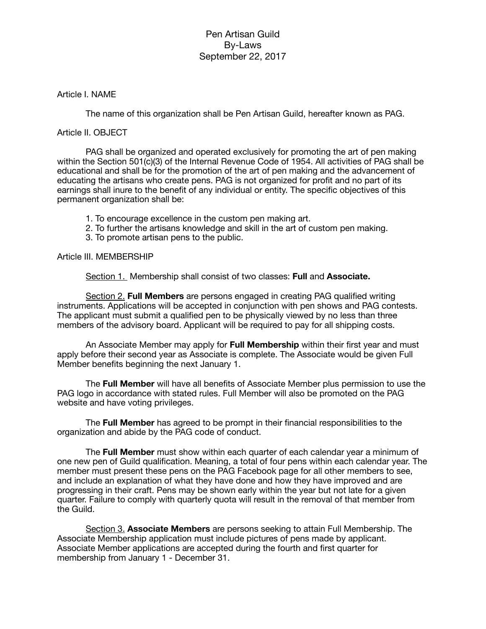### Article I. NAME

The name of this organization shall be Pen Artisan Guild, hereafter known as PAG.

### Article II. OBJECT

PAG shall be organized and operated exclusively for promoting the art of pen making within the Section 501(c)(3) of the Internal Revenue Code of 1954. All activities of PAG shall be educational and shall be for the promotion of the art of pen making and the advancement of educating the artisans who create pens. PAG is not organized for profit and no part of its earnings shall inure to the benefit of any individual or entity. The specific objectives of this permanent organization shall be:

- 1. To encourage excellence in the custom pen making art.
- 2. To further the artisans knowledge and skill in the art of custom pen making.
- 3. To promote artisan pens to the public.

#### Article III. MEMBERSHIP

Section 1. Membership shall consist of two classes: **Full** and **Associate.**

Section 2. **Full Members** are persons engaged in creating PAG qualified writing instruments. Applications will be accepted in conjunction with pen shows and PAG contests. The applicant must submit a qualified pen to be physically viewed by no less than three members of the advisory board. Applicant will be required to pay for all shipping costs.

An Associate Member may apply for **Full Membership** within their first year and must apply before their second year as Associate is complete. The Associate would be given Full Member benefits beginning the next January 1.

The **Full Member** will have all benefits of Associate Member plus permission to use the PAG logo in accordance with stated rules. Full Member will also be promoted on the PAG website and have voting privileges.

The **Full Member** has agreed to be prompt in their financial responsibilities to the organization and abide by the PAG code of conduct.

The **Full Member** must show within each quarter of each calendar year a minimum of one new pen of Guild qualification. Meaning, a total of four pens within each calendar year. The member must present these pens on the PAG Facebook page for all other members to see, and include an explanation of what they have done and how they have improved and are progressing in their craft. Pens may be shown early within the year but not late for a given quarter. Failure to comply with quarterly quota will result in the removal of that member from the Guild.

Section 3. **Associate Members** are persons seeking to attain Full Membership. The Associate Membership application must include pictures of pens made by applicant. Associate Member applications are accepted during the fourth and first quarter for membership from January 1 - December 31.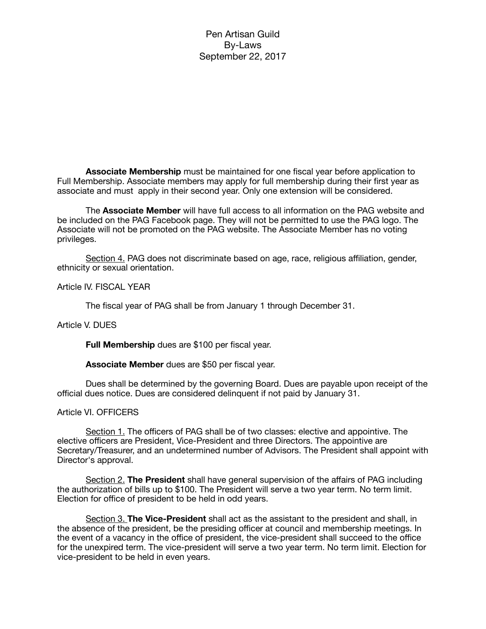**Associate Membership** must be maintained for one fiscal year before application to Full Membership. Associate members may apply for full membership during their first year as associate and must apply in their second year. Only one extension will be considered.

The **Associate Member** will have full access to all information on the PAG website and be included on the PAG Facebook page. They will not be permitted to use the PAG logo. The Associate will not be promoted on the PAG website. The Associate Member has no voting privileges.

Section 4. PAG does not discriminate based on age, race, religious affiliation, gender, ethnicity or sexual orientation.

Article IV. FISCAL YEAR

The fiscal year of PAG shall be from January 1 through December 31.

## Article V. DUES

**Full Membership** dues are \$100 per fiscal year.

**Associate Member** dues are \$50 per fiscal year.

Dues shall be determined by the governing Board. Dues are payable upon receipt of the official dues notice. Dues are considered delinquent if not paid by January 31.

#### Article VI. OFFICERS

Section 1. The officers of PAG shall be of two classes: elective and appointive. The elective officers are President, Vice-President and three Directors. The appointive are Secretary/Treasurer, and an undetermined number of Advisors. The President shall appoint with Director's approval.

Section 2. **The President** shall have general supervision of the affairs of PAG including the authorization of bills up to \$100. The President will serve a two year term. No term limit. Election for office of president to be held in odd years.

Section 3. **The Vice-President** shall act as the assistant to the president and shall, in the absence of the president, be the presiding officer at council and membership meetings. In the event of a vacancy in the office of president, the vice-president shall succeed to the office for the unexpired term. The vice-president will serve a two year term. No term limit. Election for vice-president to be held in even years.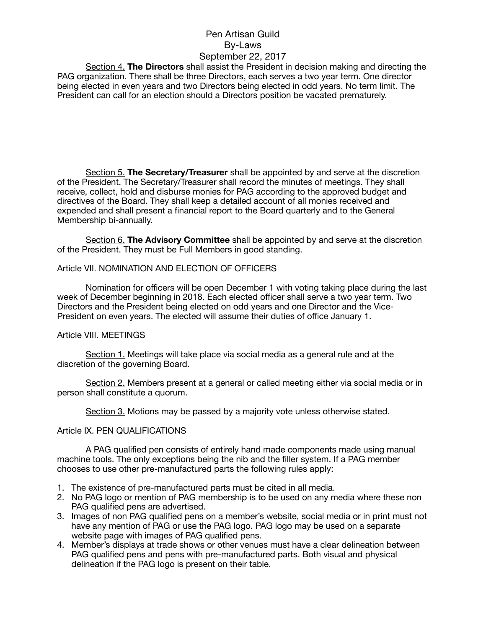Section 4. **The Directors** shall assist the President in decision making and directing the PAG organization. There shall be three Directors, each serves a two year term. One director being elected in even years and two Directors being elected in odd years. No term limit. The President can call for an election should a Directors position be vacated prematurely.

Section 5. **The Secretary/Treasurer** shall be appointed by and serve at the discretion of the President. The Secretary/Treasurer shall record the minutes of meetings. They shall receive, collect, hold and disburse monies for PAG according to the approved budget and directives of the Board. They shall keep a detailed account of all monies received and expended and shall present a financial report to the Board quarterly and to the General Membership bi-annually.

Section 6. **The Advisory Committee** shall be appointed by and serve at the discretion of the President. They must be Full Members in good standing.

Article VII. NOMINATION AND ELECTION OF OFFICERS

Nomination for officers will be open December 1 with voting taking place during the last week of December beginning in 2018. Each elected officer shall serve a two year term. Two Directors and the President being elected on odd years and one Director and the Vice-President on even years. The elected will assume their duties of office January 1.

#### Article VIII. MEETINGS

Section 1. Meetings will take place via social media as a general rule and at the discretion of the governing Board.

Section 2. Members present at a general or called meeting either via social media or in person shall constitute a quorum.

Section 3. Motions may be passed by a majority vote unless otherwise stated.

#### Article IX. PEN QUALIFICATIONS

A PAG qualified pen consists of entirely hand made components made using manual machine tools. The only exceptions being the nib and the filler system. If a PAG member chooses to use other pre-manufactured parts the following rules apply:

- 1. The existence of pre-manufactured parts must be cited in all media.
- 2. No PAG logo or mention of PAG membership is to be used on any media where these non PAG qualified pens are advertised.
- 3. Images of non PAG qualified pens on a member's website, social media or in print must not have any mention of PAG or use the PAG logo. PAG logo may be used on a separate website page with images of PAG qualified pens.
- 4. Member's displays at trade shows or other venues must have a clear delineation between PAG qualified pens and pens with pre-manufactured parts. Both visual and physical delineation if the PAG logo is present on their table.